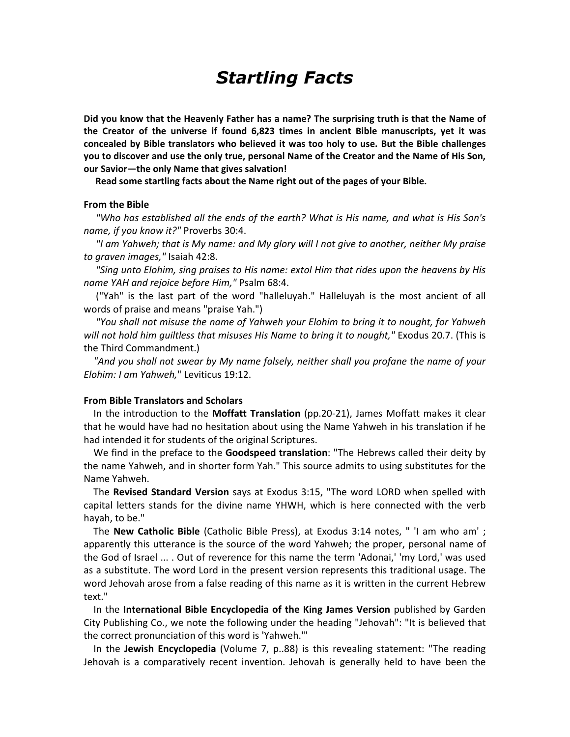# Startling Facts

Did you know that the Heavenly Father has a name? The surprising truth is that the Name of the Creator of the universe if found 6,823 times in ancient Bible manuscripts, yet it was concealed by Bible translators who believed it was too holy to use. But the Bible challenges you to discover and use the only true, personal Name of the Creator and the Name of His Son, our Savior—the only Name that gives salvation!

Read some startling facts about the Name right out of the pages of your Bible.

#### From the Bible

 "Who has established all the ends of the earth? What is His name, and what is His Son's name, if you know it?" Proverbs 30:4.

 "I am Yahweh; that is My name: and My glory will I not give to another, neither My praise to graven images," Isaiah 42:8.

 "Sing unto Elohim, sing praises to His name: extol Him that rides upon the heavens by His name YAH and rejoice before Him," Psalm 68:4.

 ("Yah" is the last part of the word "halleluyah." Halleluyah is the most ancient of all words of praise and means "praise Yah.")

 "You shall not misuse the name of Yahweh your Elohim to bring it to nought, for Yahweh will not hold him quiltless that misuses His Name to bring it to nought," Exodus 20.7. (This is the Third Commandment.)

 "And you shall not swear by My name falsely, neither shall you profane the name of your Elohim: I am Yahweh," Leviticus 19:12.

### From Bible Translators and Scholars

In the introduction to the Moffatt Translation (pp.20-21), James Moffatt makes it clear that he would have had no hesitation about using the Name Yahweh in his translation if he had intended it for students of the original Scriptures.

We find in the preface to the **Goodspeed translation**: "The Hebrews called their deity by the name Yahweh, and in shorter form Yah." This source admits to using substitutes for the Name Yahweh.

 The Revised Standard Version says at Exodus 3:15, "The word LORD when spelled with capital letters stands for the divine name YHWH, which is here connected with the verb hayah, to be."

 The New Catholic Bible (Catholic Bible Press), at Exodus 3:14 notes, " 'I am who am' ; apparently this utterance is the source of the word Yahweh; the proper, personal name of the God of Israel ... . Out of reverence for this name the term 'Adonai,' 'my Lord,' was used as a substitute. The word Lord in the present version represents this traditional usage. The word Jehovah arose from a false reading of this name as it is written in the current Hebrew text."

 In the International Bible Encyclopedia of the King James Version published by Garden City Publishing Co., we note the following under the heading "Jehovah": "It is believed that the correct pronunciation of this word is 'Yahweh.'"

 In the Jewish Encyclopedia (Volume 7, p..88) is this revealing statement: "The reading Jehovah is a comparatively recent invention. Jehovah is generally held to have been the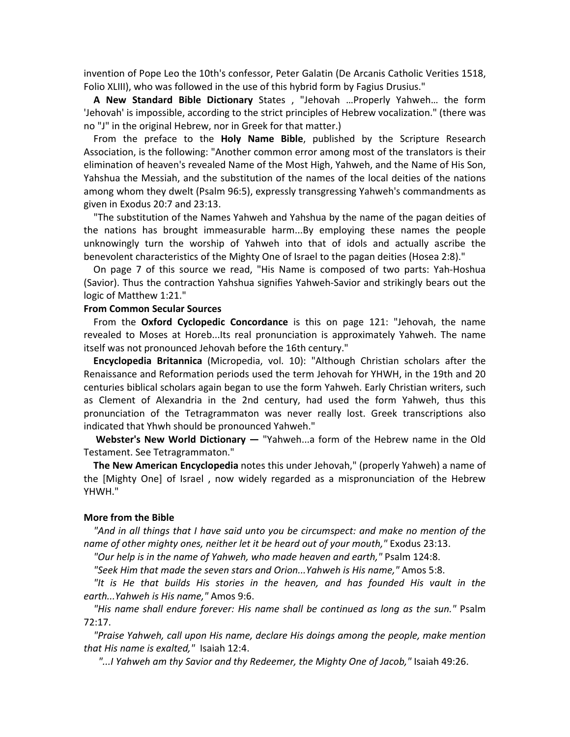invention of Pope Leo the 10th's confessor, Peter Galatin (De Arcanis Catholic Verities 1518, Folio XLIII), who was followed in the use of this hybrid form by Fagius Drusius."

 A New Standard Bible Dictionary States , "Jehovah …Properly Yahweh… the form 'Jehovah' is impossible, according to the strict principles of Hebrew vocalization." (there was no "J" in the original Hebrew, nor in Greek for that matter.)

From the preface to the Holy Name Bible, published by the Scripture Research Association, is the following: "Another common error among most of the translators is their elimination of heaven's revealed Name of the Most High, Yahweh, and the Name of His Son, Yahshua the Messiah, and the substitution of the names of the local deities of the nations among whom they dwelt (Psalm 96:5), expressly transgressing Yahweh's commandments as given in Exodus 20:7 and 23:13.

 "The substitution of the Names Yahweh and Yahshua by the name of the pagan deities of the nations has brought immeasurable harm...By employing these names the people unknowingly turn the worship of Yahweh into that of idols and actually ascribe the benevolent characteristics of the Mighty One of Israel to the pagan deities (Hosea 2:8)."

 On page 7 of this source we read, "His Name is composed of two parts: Yah-Hoshua (Savior). Thus the contraction Yahshua signifies Yahweh-Savior and strikingly bears out the logic of Matthew 1:21."

# From Common Secular Sources

From the Oxford Cyclopedic Concordance is this on page 121: "Jehovah, the name revealed to Moses at Horeb...Its real pronunciation is approximately Yahweh. The name itself was not pronounced Jehovah before the 16th century."

 Encyclopedia Britannica (Micropedia, vol. 10): "Although Christian scholars after the Renaissance and Reformation periods used the term Jehovah for YHWH, in the 19th and 20 centuries biblical scholars again began to use the form Yahweh. Early Christian writers, such as Clement of Alexandria in the 2nd century, had used the form Yahweh, thus this pronunciation of the Tetragrammaton was never really lost. Greek transcriptions also indicated that Yhwh should be pronounced Yahweh."

Webster's New World Dictionary — "Yahweh...a form of the Hebrew name in the Old Testament. See Tetragrammaton."

 The New American Encyclopedia notes this under Jehovah," (properly Yahweh) a name of the [Mighty One] of Israel , now widely regarded as a mispronunciation of the Hebrew YHWH."

## More from the Bible

 "And in all things that I have said unto you be circumspect: and make no mention of the name of other mighty ones, neither let it be heard out of your mouth," Exodus 23:13.

"Our help is in the name of Yahweh, who made heaven and earth," Psalm 124:8.

"Seek Him that made the seven stars and Orion...Yahweh is His name," Amos 5:8.

 "It is He that builds His stories in the heaven, and has founded His vault in the earth...Yahweh is His name," Amos 9:6.

 "His name shall endure forever: His name shall be continued as long as the sun." Psalm 72:17.

 "Praise Yahweh, call upon His name, declare His doings among the people, make mention that His name is exalted," Isaiah 12:4.

"...I Yahweh am thy Savior and thy Redeemer, the Mighty One of Jacob," Isaiah 49:26.